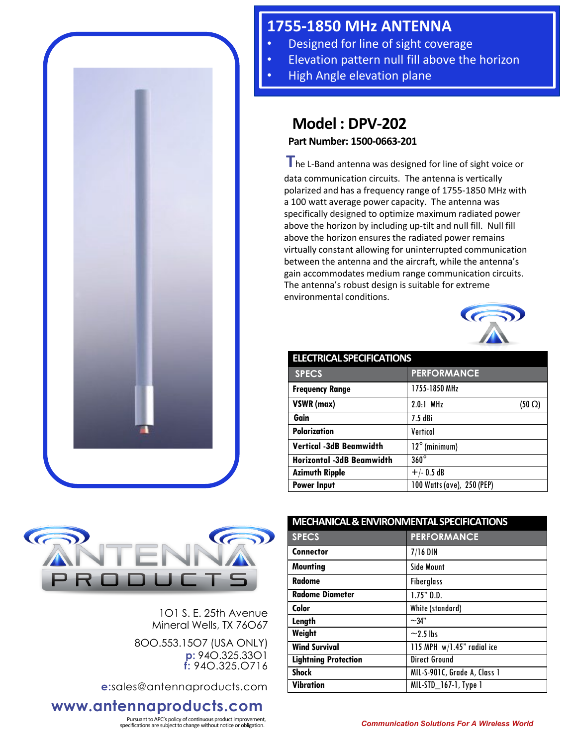

## **1755-1850 MHz ANTENNA**

- Designed for line of sight coverage
- Elevation pattern null fill above the horizon
- High Angle elevation plane

## **Model : DPV-202**

**Part Number: 1500-0663-201**

**T**he L-Band antenna was designed for line of sight voice or data communication circuits. The antenna is vertically polarized and has a frequency range of 1755-1850 MHz with a 100 watt average power capacity. The antenna was specifically designed to optimize maximum radiated power above the horizon by including up-tilt and null fill. Null fill above the horizon ensures the radiated power remains virtually constant allowing for uninterrupted communication between the antenna and the aircraft, while the antenna's gain accommodates medium range communication circuits. The antenna's robust design is suitable for extreme environmental conditions.



| <b>ELECTRICAL SPECIFICATIONS</b> |                              |  |
|----------------------------------|------------------------------|--|
| <b>SPECS</b>                     | <b>PERFORMANCE</b>           |  |
| <b>Frequency Range</b>           | 1755-1850 MHz                |  |
| VSWR (max)                       | $2.0.1$ MHz<br>$(50 \Omega)$ |  |
| Gain                             | $7.5$ dBi                    |  |
| <b>Polarization</b>              | Vertical                     |  |
| <b>Vertical -3dB Beamwidth</b>   | $12^{\circ}$ (minimum)       |  |
| <b>Horizontal -3dB Beamwidth</b> | $360^\circ$                  |  |
| <b>Azimuth Ripple</b>            | $+/- 0.5 dB$                 |  |
| <b>Power Input</b>               | 100 Watts (ave), 250 (PEP)   |  |



1O1 S. E. 25th Avenue Mineral Wells, TX 76O67

8OO.553.15O7 (USA ONLY) **p:** 94O.325.33O1 **f:** 94O.325.O716

**e:**sales@antennaproducts.com

## **www.antennaproducts.com**

Pursuant to APC's policy of continuous product improvement,

| <b>MECHANICAL &amp; ENVIRONMENTAL SPECIFICATIONS</b> |                              |
|------------------------------------------------------|------------------------------|
| <b>SPECS</b>                                         | <b>PERFORMANCE</b>           |
| <b>Connector</b>                                     | $7/16$ DIN                   |
| <b>Mounting</b>                                      | <b>Side Mount</b>            |
| Radome                                               | <b>Fiberglass</b>            |
| <b>Radome Diameter</b>                               | $1.75"$ $0.0.$               |
| Color                                                | White (standard)             |
| Length                                               | $-34"$                       |
| Weight                                               | $\sim$ 2.5 lbs               |
| <b>Wind Survival</b>                                 | 115 MPH w/1.45" radial ice   |
| <b>Lightning Protection</b>                          | <b>Direct Ground</b>         |
| <b>Shock</b>                                         | MIL-S-901C, Grade A, Class 1 |
| Vibration                                            | MIL-STD_167-1, Type 1        |